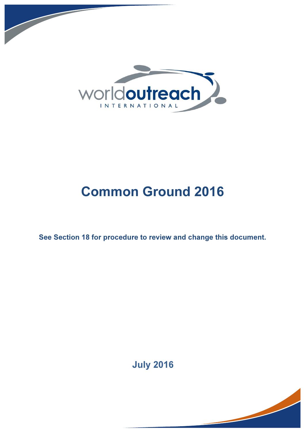

# Common Ground 2016

See Section 18 for procedure to review and change this document.

July 2016

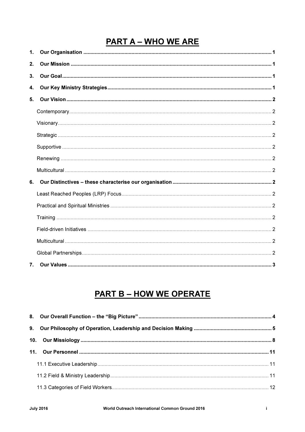## **PART A - WHO WE ARE**

| 1. |  |
|----|--|
| 2. |  |
| 3. |  |
| 4. |  |
| 5. |  |
|    |  |
|    |  |
|    |  |
|    |  |
|    |  |
|    |  |
| 6. |  |
|    |  |
|    |  |
|    |  |
|    |  |
|    |  |
|    |  |
| 7. |  |

## **PART B - HOW WE OPERATE**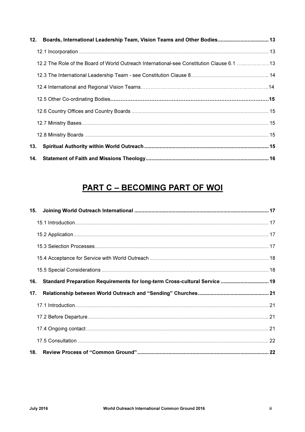|     | 12. Boards, International Leadership Team, Vision Teams and Other Bodies 13               |  |
|-----|-------------------------------------------------------------------------------------------|--|
|     |                                                                                           |  |
|     | 12.2 The Role of the Board of World Outreach International-see Constitution Clause 6.1 13 |  |
|     |                                                                                           |  |
|     |                                                                                           |  |
|     |                                                                                           |  |
|     |                                                                                           |  |
|     |                                                                                           |  |
|     |                                                                                           |  |
| 13. |                                                                                           |  |
|     |                                                                                           |  |

## **PART C - BECOMING PART OF WOL**

| 15. |  |
|-----|--|
|     |  |
|     |  |
|     |  |
|     |  |
|     |  |
| 16. |  |
|     |  |
| 17. |  |
|     |  |
|     |  |
|     |  |
|     |  |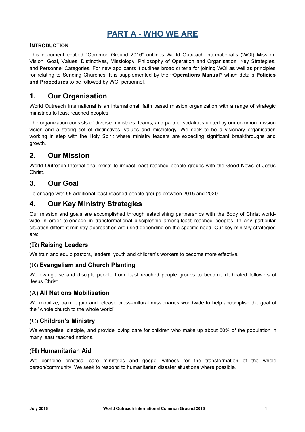## PART A - WHO WE ARE

#### INTRODUCTION

This document entitled "Common Ground 2016" outlines World Outreach International's (WOI) Mission, Vision, Goal, Values, Distinctives, Missiology, Philosophy of Operation and Organisation, Key Strategies, and Personnel Categories. For new applicants it outlines broad criteria for joining WOI as well as principles for relating to Sending Churches. It is supplemented by the "Operations Manual" which details Policies and Procedures to be followed by WOI personnel.

### 1. Our Organisation

World Outreach International is an international, faith based mission organization with a range of strategic ministries to least reached peoples.

The organization consists of diverse ministries, teams, and partner sodalities united by our common mission vision and a strong set of distinctives, values and missiology. We seek to be a visionary organisation working in step with the Holy Spirit where ministry leaders are expecting significant breakthroughs and growth.

### 2. Our Mission

World Outreach International exists to impact least reached people groups with the Good News of Jesus Christ.

### 3. Our Goal

To engage with 55 additional least reached people groups between 2015 and 2020.

### 4. Our Key Ministry Strategies

Our mission and goals are accomplished through establishing partnerships with the Body of Christ worldwide in order to engage in transformational discipleship among least reached peoples. In any particular situation different ministry approaches are used depending on the specific need. Our key ministry strategies are:

#### (R) Raising Leaders

We train and equip pastors, leaders, youth and children's workers to become more effective.

#### (E) Evangelism and Church Planting

We evangelise and disciple people from least reached people groups to become dedicated followers of Jesus Christ.

#### (A) All Nations Mobilisation

We mobilize, train, equip and release cross-cultural missionaries worldwide to help accomplish the goal of the "whole church to the whole world".

#### (C) Children's Ministry

We evangelise, disciple, and provide loving care for children who make up about 50% of the population in many least reached nations.

#### (H) Humanitarian Aid

We combine practical care ministries and gospel witness for the transformation of the whole person/community. We seek to respond to humanitarian disaster situations where possible.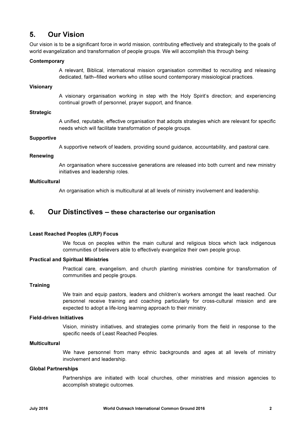## 5. Our Vision

Our vision is to be a significant force in world mission, contributing effectively and strategically to the goals of world evangelization and transformation of people groups. We will accomplish this through being:

#### **Contemporary**

A relevant, Biblical, international mission organisation committed to recruiting and releasing dedicated, faith–filled workers who utilise sound contemporary missiological practices.

#### Visionary

A visionary organisation working in step with the Holy Spirit's direction; and experiencing continual growth of personnel, prayer support, and finance.

#### **Strategic**

A unified, reputable, effective organisation that adopts strategies which are relevant for specific needs which will facilitate transformation of people groups.

#### **Supportive**

A supportive network of leaders, providing sound guidance, accountability, and pastoral care.

#### Renewing

An organisation where successive generations are released into both current and new ministry initiatives and leadership roles.

#### **Multicultural**

An organisation which is multicultural at all levels of ministry involvement and leadership.

#### 6. Our Distinctives – these characterise our organisation

#### Least Reached Peoples (LRP) Focus

We focus on peoples within the main cultural and religious blocs which lack indigenous communities of believers able to effectively evangelize their own people group.

#### Practical and Spiritual Ministries

Practical care, evangelism, and church planting ministries combine for transformation of communities and people groups.

#### **Training**

We train and equip pastors, leaders and children's workers amongst the least reached. Our personnel receive training and coaching particularly for cross-cultural mission and are expected to adopt a life-long learning approach to their ministry.

#### Field-driven Initiatives

Vision, ministry initiatives, and strategies come primarily from the field in response to the specific needs of Least Reached Peoples.

#### Multicultural

We have personnel from many ethnic backgrounds and ages at all levels of ministry involvement and leadership.

#### Global Partnerships

Partnerships are initiated with local churches, other ministries and mission agencies to accomplish strategic outcomes.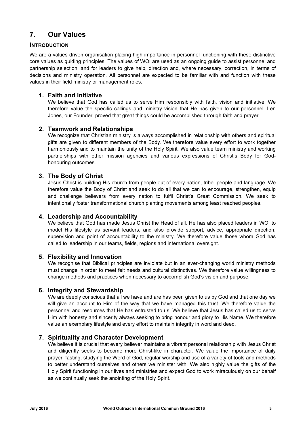## 7. Our Values

#### INTRODUCTION

We are a values driven organisation placing high importance in personnel functioning with these distinctive core values as guiding principles. The values of WOI are used as an ongoing guide to assist personnel and partnership selection, and for leaders to give help, direction and, where necessary, correction, in terms of decisions and ministry operation. All personnel are expected to be familiar with and function with these values in their field ministry or management roles.

#### 1. Faith and Initiative

We believe that God has called us to serve Him responsibly with faith, vision and initiative. We therefore value the specific callings and ministry vision that He has given to our personnel. Len Jones, our Founder, proved that great things could be accomplished through faith and prayer.

#### 2. Teamwork and Relationships

We recognize that Christian ministry is always accomplished in relationship with others and spiritual gifts are given to different members of the Body. We therefore value every effort to work together harmoniously and to maintain the unity of the Holy Spirit. We also value team ministry and working partnerships with other mission agencies and various expressions of Christ's Body for Godhonouring outcomes.

#### 3. The Body of Christ

Jesus Christ is building His church from people out of every nation, tribe, people and language. We therefore value the Body of Christ and seek to do all that we can to encourage, strengthen, equip and challenge believers from every nation to fulfil Christ's Great Commission. We seek to intentionally foster transformational church planting movements among least reached peoples.

#### 4. Leadership and Accountability

We believe that God has made Jesus Christ the Head of all. He has also placed leaders in WOI to model His lifestyle as servant leaders, and also provide support, advice, appropriate direction, supervision and point of accountability to the ministry. We therefore value those whom God has called to leadership in our teams, fields, regions and international oversight.

#### 5. Flexibility and Innovation

We recognise that Biblical principles are inviolate but in an ever-changing world ministry methods must change in order to meet felt needs and cultural distinctives. We therefore value willingness to change methods and practices when necessary to accomplish God's vision and purpose.

#### 6. Integrity and Stewardship

We are deeply conscious that all we have and are has been given to us by God and that one day we will give an account to Him of the way that we have managed this trust. We therefore value the personnel and resources that He has entrusted to us. We believe that Jesus has called us to serve Him with honesty and sincerity always seeking to bring honour and glory to His Name. We therefore value an exemplary lifestyle and every effort to maintain integrity in word and deed.

#### 7. Spirituality and Character Development

We believe it is crucial that every believer maintains a vibrant personal relationship with Jesus Christ and diligently seeks to become more Christ-like in character. We value the importance of daily prayer, fasting, studying the Word of God, regular worship and use of a variety of tools and methods to better understand ourselves and others we minister with. We also highly value the gifts of the Holy Spirit functioning in our lives and ministries and expect God to work miraculously on our behalf as we continually seek the anointing of the Holy Spirit.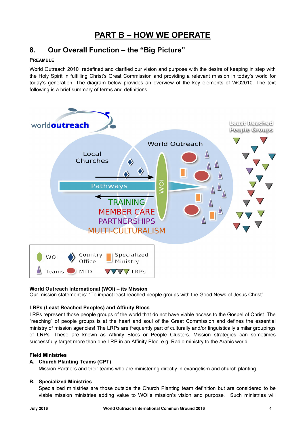## PART B – HOW WE OPERATE

## 8. Our Overall Function – the "Big Picture"

#### PREAMBLE

World Outreach 2010 redefined and clarified our vision and purpose with the desire of keeping in step with the Holy Spirit in fulfilling Christ's Great Commission and providing a relevant mission in today's world for today's generation. The diagram below provides an overview of the key elements of WO2010. The text following is a brief summary of terms and definitions.



#### World Outreach International (WOI) – its Mission

Our mission statement is: "To impact least reached people groups with the Good News of Jesus Christ".

#### LRPs (Least Reached Peoples) and Affinity Blocs

LRPs represent those people groups of the world that do not have viable access to the Gospel of Christ. The "reaching" of people groups is at the heart and soul of the Great Commission and defines the essential ministry of mission agencies! The LRPs are frequently part of culturally and/or linguistically similar groupings of LRPs. These are known as Affinity Blocs or People Clusters. Mission strategies can sometimes successfully target more than one LRP in an Affinity Bloc, e.g. Radio ministry to the Arabic world.

#### Field Ministries

#### A. Church Planting Teams (CPT)

Mission Partners and their teams who are ministering directly in evangelism and church planting.

#### B. Specialized Ministries

Specialized ministries are those outside the Church Planting team definition but are considered to be viable mission ministries adding value to WOI's mission's vision and purpose. Such ministries will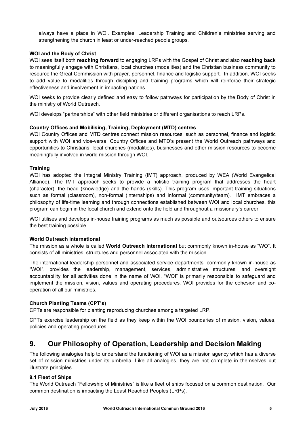always have a place in WOI. Examples: Leadership Training and Children's ministries serving and strengthening the church in least or under-reached people groups.

#### WOI and the Body of Christ

WOI sees itself both reaching forward to engaging LRPs with the Gospel of Christ and also reaching back to meaningfully engage with Christians, local churches (modalities) and the Christian business community to resource the Great Commission with prayer, personnel, finance and logistic support. In addition, WOI seeks to add value to modalities through discipling and training programs which will reinforce their strategic effectiveness and involvement in impacting nations.

WOI seeks to provide clearly defined and easy to follow pathways for participation by the Body of Christ in the ministry of World Outreach.

WOI develops "partnerships" with other field ministries or different organisations to reach LRPs.

#### Country Offices and Mobilising, Training, Deployment (MTD) centres

WOI Country Offices and MTD centres connect mission resources, such as personnel, finance and logistic support with WOI and vice-versa. Country Offices and MTD's present the World Outreach pathways and opportunities to Christians, local churches (modalities), businesses and other mission resources to become meaningfully involved in world mission through WOI.

#### **Training**

WOI has adopted the Integral Ministry Training (IMT) approach, produced by WEA (World Evangelical Alliance). The IMT approach seeks to provide a holistic training program that addresses the heart (character), the head (knowledge) and the hands (skills). This program uses important training situations such as formal (classroom), non-formal (internships) and informal (community/team). IMT embraces a philosophy of life-time learning and through connections established between WOI and local churches, this program can begin in the local church and extend onto the field and throughout a missionary's career.

WOI utilises and develops in-house training programs as much as possible and outsources others to ensure the best training possible.

#### World Outreach International

The mission as a whole is called World Outreach International but commonly known in-house as "WO". It consists of all ministries, structures and personnel associated with the mission.

The international leadership personnel and associated service departments, commonly known in-house as "WOI", provides the leadership, management, services, administrative structures, and oversight accountability for all activities done in the name of WOI. "WOI" is primarily responsible to safeguard and implement the mission, vision, values and operating procedures. WOI provides for the cohesion and cooperation of all our ministries.

#### Church Planting Teams (CPT's)

CPTs are responsible for planting reproducing churches among a targeted LRP.

CPTs exercise leadership on the field as they keep within the WOI boundaries of mission, vision, values, policies and operating procedures.

## 9. Our Philosophy of Operation, Leadership and Decision Making

The following analogies help to understand the functioning of WOI as a mission agency which has a diverse set of mission ministries under its umbrella. Like all analogies, they are not complete in themselves but illustrate principles.

#### 9.1 Fleet of Ships

The World Outreach "Fellowship of Ministries" is like a fleet of ships focused on a common destination. Our common destination is impacting the Least Reached Peoples (LRPs).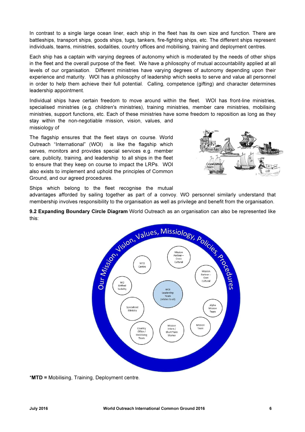In contrast to a single large ocean liner, each ship in the fleet has its own size and function. There are battleships, transport ships, goods ships, tugs, tankers, fire-fighting ships, etc. The different ships represent individuals, teams, ministries, sodalities, country offices and mobilising, training and deployment centres.

Each ship has a captain with varying degrees of autonomy which is moderated by the needs of other ships in the fleet and the overall purpose of the fleet. We have a philosophy of mutual accountability applied at all levels of our organisation. Different ministries have varying degrees of autonomy depending upon their experience and maturity. WOI has a philosophy of leadership which seeks to serve and value all personnel in order to help them achieve their full potential. Calling, competence (gifting) and character determines leadership appointment.

Individual ships have certain freedom to move around within the fleet. WOI has front-line ministries, specialised ministries (e.g. children's ministries), training ministries, member care ministries, mobilising ministries, support functions, etc. Each of these ministries have some freedom to reposition as long as they stay within the non-negotiable mission, vision, values, and missiology of

The flagship ensures that the fleet stays on course. World Outreach "International" (WOI) is like the flagship which serves, monitors and provides special services e.g. member care, publicity, training, and leadership to all ships in the fleet to ensure that they keep on course to impact the LRPs. WOI also exists to implement and uphold the principles of Common Ground, and our agreed procedures.



Ships which belong to the fleet recognise the mutual advantages afforded by sailing together as part of a convoy. WO personnel similarly understand that

membership involves responsibility to the organisation as well as privilege and benefit from the organisation.

9.2 Expanding Boundary Circle Diagram World Outreach as an organisation can also be represented like this:



\*MTD = Mobilising, Training, Deployment centre.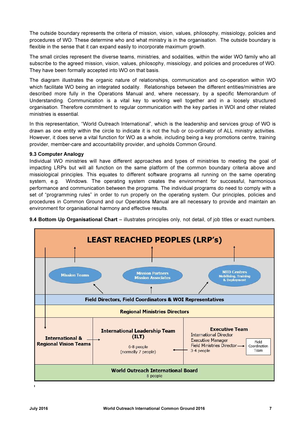The outside boundary represents the criteria of mission, vision, values, philosophy, missiology, policies and procedures of WO. These determine who and what ministry is in the organisation. The outside boundary is flexible in the sense that it can expand easily to incorporate maximum growth.

The small circles represent the diverse teams, ministries, and sodalities, within the wider WO family who all subscribe to the agreed mission, vision, values, philosophy, missiology, and policies and procedures of WO. They have been formally accepted into WO on that basis.

The diagram illustrates the organic nature of relationships, communication and co-operation within WO which facilitate WO being an integrated sodality. Relationships between the different entities/ministries are described more fully in the Operations Manual and, where necessary, by a specific Memorandum of Understanding. Communication is a vital key to working well together and in a loosely structured organisation. Therefore commitment to regular communication with the key parties in WOI and other related ministries is essential.

In this representation, "World Outreach International", which is the leadership and services group of WO is drawn as one entity within the circle to indicate it is not the hub or co-ordinator of ALL ministry activities. However, it does serve a vital function for WO as a whole, including being a key promotions centre, training provider, member-care and accountability provider, and upholds Common Ground.

#### 9.3 Computer Analogy

Individual WO ministries will have different approaches and types of ministries to meeting the goal of impacting LRPs but will all function on the same platform of the common boundary criteria above and missiological principles. This equates to different software programs all running on the same operating system, e.g. Windows. The operating system creates the environment for successful, harmonious performance and communication between the programs. The individual programs do need to comply with a set of "programming rules" in order to run properly on the operating system. Our principles, policies and procedures in Common Ground and our Operations Manual are all necessary to provide and maintain an environment for organisational harmony and effective results.



9.4 Bottom Up Organisational Chart – illustrates principles only, not detail, of job titles or exact numbers.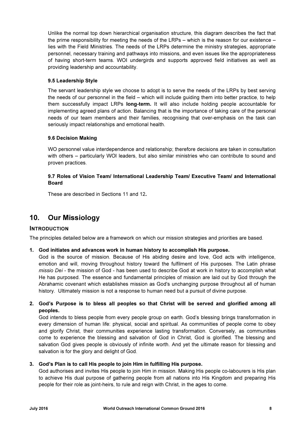Unlike the normal top down hierarchical organisation structure, this diagram describes the fact that the prime responsibility for meeting the needs of the LRPs – which is the reason for our existence – lies with the Field Ministries. The needs of the LRPs determine the ministry strategies, appropriate personnel, necessary training and pathways into missions, and even issues like the appropriateness of having short-term teams. WOI undergirds and supports approved field initiatives as well as providing leadership and accountability.

#### 9.5 Leadership Style

The servant leadership style we choose to adopt is to serve the needs of the LRPs by best serving the needs of our personnel in the field – which will include guiding them into better practice, to help them successfully impact LRPs long-term. It will also include holding people accountable for implementing agreed plans of action. Balancing that is the importance of taking care of the personal needs of our team members and their families, recognising that over-emphasis on the task can seriously impact relationships and emotional health.

#### 9.6 Decision Making

WO personnel value interdependence and relationship; therefore decisions are taken in consultation with others – particularly WOI leaders, but also similar ministries who can contribute to sound and proven practices.

#### 9.7 Roles of Vision Team/ International Leadership Team/ Executive Team/ and International Board

These are described in Sections 11 and 12.

## 10. Our Missiology

#### INTRODUCTION

The principles detailed below are a framework on which our mission strategies and priorities are based.

#### 1. God initiates and advances work in human history to accomplish His purpose.

God is the source of mission. Because of His abiding desire and love, God acts with intelligence, emotion and will, moving throughout history toward the fulfilment of His purposes. The Latin phrase missio Dei - the mission of God - has been used to describe God at work in history to accomplish what He has purposed. The essence and fundamental principles of mission are laid out by God through the Abrahamic covenant which establishes mission as God's unchanging purpose throughout all of human history. Ultimately mission is not a response to human need but a pursuit of divine purpose.

#### 2. God's Purpose is to bless all peoples so that Christ will be served and glorified among all peoples.

God intends to bless people from every people group on earth. God's blessing brings transformation in every dimension of human life: physical, social and spiritual. As communities of people come to obey and glorify Christ, their communities experience lasting transformation. Conversely, as communities come to experience the blessing and salvation of God in Christ, God is glorified. The blessing and salvation God gives people is obviously of infinite worth. And yet the ultimate reason for blessing and salvation is for the glory and delight of God.

#### 3. God's Plan is to call His people to join Him in fulfilling His purpose.

God authorises and invites His people to join Him in mission. Making His people co-labourers is His plan to achieve His dual purpose of gathering people from all nations into His Kingdom and preparing His people for their role as joint-heirs, to rule and reign with Christ, in the ages to come.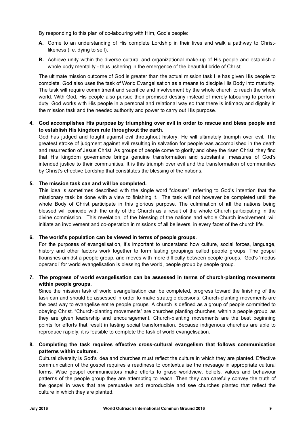By responding to this plan of co-labouring with Him, God's people:

- A. Come to an understanding of His complete Lordship in their lives and walk a pathway to Christlikeness (i.e. dying to self).
- B. Achieve unity within the diverse cultural and organizational make-up of His people and establish a whole body mentality - thus ushering in the emergence of the beautiful bride of Christ.

The ultimate mission outcome of God is greater than the actual mission task He has given His people to complete. God also uses the task of World Evangelisation as a means to disciple His Body into maturity. The task will require commitment and sacrifice and involvement by the whole church to reach the whole world. With God, His people also pursue their promised destiny instead of merely labouring to perform duty. God works with His people in a personal and relational way so that there is intimacy and dignity in the mission task and the needed authority and power to carry out His purpose.

#### 4. God accomplishes His purpose by triumphing over evil in order to rescue and bless people and to establish His kingdom rule throughout the earth.

God has judged and fought against evil throughout history. He will ultimately triumph over evil. The greatest stroke of judgment against evil resulting in salvation for people was accomplished in the death and resurrection of Jesus Christ. As groups of people come to glorify and obey the risen Christ, they find that His kingdom governance brings genuine transformation and substantial measures of God's intended justice to their communities. It is this triumph over evil and the transformation of communities by Christ's effective Lordship that constitutes the blessing of the nations.

#### 5. The mission task can and will be completed.

This idea is sometimes described with the single word "closure", referring to God's intention that the missionary task be done with a view to finishing it. The task will not however be completed until the whole Body of Christ participate in this glorious purpose. The culmination of all the nations being blessed will coincide with the unity of the Church as a result of the whole Church participating in the divine commission. This revelation, of the blessing of the nations and whole Church involvement, will initiate an involvement and co-operation in missions of all believers, in every facet of the church life.

#### 6. The world's population can be viewed in terms of people groups.

For the purposes of evangelisation, it's important to understand how culture, social forces, language, history and other factors work together to form lasting groupings called people groups. The gospel flourishes amidst a people group, and moves with more difficulty between people groups. God's 'modus operandi' for world evangelisation is blessing the world, people group by people group.

#### 7. The progress of world evangelisation can be assessed in terms of church-planting movements within people groups.

Since the mission task of world evangelisation can be completed, progress toward the finishing of the task can and should be assessed in order to make strategic decisions. Church-planting movements are the best way to evangelise entire people groups. A church is defined as a group of people committed to obeying Christ. "Church-planting movements" are churches planting churches, within a people group, as they are given leadership and encouragement. Church-planting movements are the best beginning points for efforts that result in lasting social transformation. Because indigenous churches are able to reproduce rapidly, it is feasible to complete the task of world evangelisation.

#### 8. Completing the task requires effective cross-cultural evangelism that follows communication patterns within cultures.

Cultural diversity is God's idea and churches must reflect the culture in which they are planted. Effective communication of the gospel requires a readiness to contextualise the message in appropriate cultural forms. Wise gospel communicators make efforts to grasp worldview, beliefs, values and behaviour patterns of the people group they are attempting to reach. Then they can carefully convey the truth of the gospel in ways that are persuasive and reproducible and see churches planted that reflect the culture in which they are planted.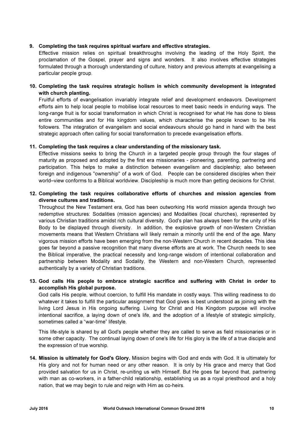#### 9. Completing the task requires spiritual warfare and effective strategies.

Effective mission relies on spiritual breakthroughs involving the leading of the Holy Spirit, the proclamation of the Gospel, prayer and signs and wonders. It also involves effective strategies formulated through a thorough understanding of culture, history and previous attempts at evangelising a particular people group.

#### 10. Completing the task requires strategic holism in which community development is integrated with church planting.

Fruitful efforts of evangelisation invariably integrate relief and development endeavors. Development efforts aim to help local people to mobilise local resources to meet basic needs in enduring ways. The long-range fruit is for social transformation in which Christ is recognised for what He has done to bless entire communities and for His kingdom values, which characterise the people known to be His followers. The integration of evangelism and social endeavours should go hand in hand with the best strategic approach often calling for social transformation to precede evangelisation efforts.

#### 11. Completing the task requires a clear understanding of the missionary task.

Effective missions seeks to bring the Church in a targeted people group through the four stages of maturity as proposed and adopted by the first era missionaries - pioneering, parenting, partnering and participation. This helps to make a distinction between evangelism and discipleship; also between foreign and indigenous "ownership" of a work of God. People can be considered disciples when their world–view conforms to a Biblical worldview. Discipleship is much more than getting decisions for Christ.

#### 12. Completing the task requires collaborative efforts of churches and mission agencies from diverse cultures and traditions.

Throughout the New Testament era, God has been outworking His world mission agenda through two redemptive structures: Sodalities (mission agencies) and Modalities (local churches), represented by various Christian traditions amidst rich cultural diversity. God's plan has always been for the unity of His Body to be displayed through diversity. In addition, the explosive growth of non-Western Christian movements means that Western Christians will likely remain a minority until the end of the age. Many vigorous mission efforts have been emerging from the non-Western Church in recent decades. This idea goes far beyond a passive recognition that many diverse efforts are at work. The Church needs to see the Biblical imperative, the practical necessity and long-range wisdom of intentional collaboration and partnership between Modality and Sodality, the Western and non-Western Church, represented authentically by a variety of Christian traditions.

#### 13. God calls His people to embrace strategic sacrifice and suffering with Christ in order to accomplish His global purpose.

God calls His people, without coercion, to fulfill His mandate in costly ways. This willing readiness to do whatever it takes to fulfill the particular assignment that God gives is best understood as joining with the living Lord Jesus in His ongoing suffering. Living for Christ and His Kingdom purpose will involve intentional sacrifice, a laying down of one's life, and the adoption of a lifestyle of strategic simplicity, sometimes called a "war-time" lifestyle.

This life-style is shared by all God's people whether they are called to serve as field missionaries or in some other capacity. The continual laying down of one's life for His glory is the life of a true disciple and the expression of true worship.

14. Mission is ultimately for God's Glory. Mission begins with God and ends with God. It is ultimately for His glory and not for human need or any other reason. It is only by His grace and mercy that God provided salvation for us in Christ, re-uniting us with Himself. But He goes far beyond that, partnering with man as co-workers, in a father-child relationship, establishing us as a royal priesthood and a holy nation, that we may begin to rule and reign with Him as co-heirs.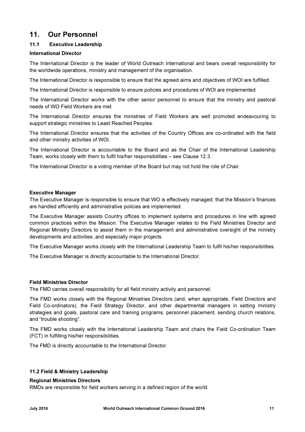### 11. Our Personnel

#### 11.1 Executive Leadership

#### International Director

The International Director is the leader of World Outreach International and bears overall responsibility for the worldwide operations, ministry and management of the organisation.

The International Director is responsible to ensure that the agreed aims and objectives of WOI are fulfilled.

The International Director is responsible to ensure policies and procedures of WOI are implemented.

The International Director works with the other senior personnel to ensure that the ministry and pastoral needs of WO Field Workers are met.

The International Director ensures the ministries of Field Workers are well promoted endeavouring to support strategic ministries to Least Reached Peoples.

The International Director ensures that the activities of the Country Offices are co-ordinated with the field and other ministry activities of WOI.

The International Director is accountable to the Board and as the Chair of the International Leadership Team, works closely with them to fulfil his/her responsibilities – see Clause 12.3.

The International Director is a voting member of the Board but may not hold the role of Chair.

#### Executive Manager

The Executive Manager is responsible to ensure that WO is effectively managed; that the Mission's finances are handled efficiently and administrative policies are implemented.

The Executive Manager assists Country offices to implement systems and procedures in line with agreed common practices within the Mission. The Executive Manager relates to the Field Ministries Director and Regional Ministry Directors to assist them in the management and administrative oversight of the ministry developments and activities, and especially major projects.

The Executive Manager works closely with the International Leadership Team to fulfil his/her responsibilities.

The Executive Manager is directly accountable to the International Director.

#### Field Ministries Director

The FMD carries overall responsibility for all field ministry activity and personnel.

The FMD works closely with the Regional Ministries Directors (and, when appropriate, Field Directors and Field Co-ordinators), the Field Strategy Director, and other departmental managers in setting ministry strategies and goals, pastoral care and training programs, personnel placement, sending church relations, and "trouble shooting".

The FMD works closely with the International Leadership Team and chairs the Field Co-ordination Team (FCT) in fulfilling his/her responsibilities.

The FMD is directly accountable to the International Director.

#### 11.2 Field & Ministry Leadership

#### Regional Ministries Directors

RMDs are responsible for field workers serving in a defined region of the world.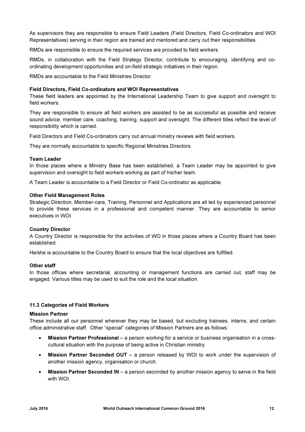As supervisors they are responsible to ensure Field Leaders (Field Directors, Field Co-ordinators and WOI Representatives) serving in their region are trained and mentored and carry out their responsibilities.

RMDs are responsible to ensure the required services are provided to field workers.

RMDs, in collaboration with the Field Strategy Director, contribute to encouraging, identifying and coordinating development opportunities and on-field strategic initiatives in their region.

RMDs are accountable to the Field Ministries Director.

#### Field Directors, Field Co-ordinators and WOI Representatives

These field leaders are appointed by the International Leadership Team to give support and oversight to field workers.

They are responsible to ensure all field workers are assisted to be as successful as possible and receive sound advice, member care, coaching, training, support and oversight. The different titles reflect the level of responsibility which is carried.

Field Directors and Field Co-ordinators carry out annual ministry reviews with field workers.

They are normally accountable to specific Regional Ministries Directors.

#### Team Leader

In those places where a Ministry Base has been established, a Team Leader may be appointed to give supervision and oversight to field workers working as part of his/her team.

A Team Leader is accountable to a Field Director or Field Co-ordinator as applicable.

#### Other Field Management Roles

Strategic Direction, Member-care, Training, Personnel and Applications are all led by experienced personnel to provide these services in a professional and competent manner. They are accountable to senior executives in WOI.

#### Country Director

A Country Director is responsible for the activities of WO in those places where a Country Board has been established.

He/she is accountable to the Country Board to ensure that the local objectives are fulfilled.

#### Other staff

In those offices where secretarial, accounting or management functions are carried out, staff may be engaged. Various titles may be used to suit the role and the local situation.

#### 11.3 Categories of Field Workers

#### Mission Partner

These include all our personnel wherever they may be based, but excluding trainees, interns, and certain office administrative staff. Other "special" categories of Mission Partners are as follows:

- Mission Partner Professional a person working for a service or business organisation in a crosscultural situation with the purpose of being active in Christian ministry.
- Mission Partner Seconded OUT a person released by WOI to work under the supervision of another mission agency, organisation or church.
- Mission Partner Seconded IN a person seconded by another mission agency to serve in the field with WOI.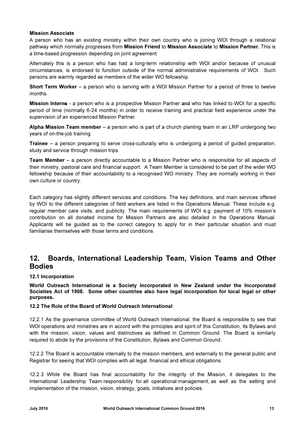#### Mission Associate

A person who has an existing ministry within their own country who is joining WOI through a relational pathway which normally progresses from Mission Friend to Mission Associate to Mission Partner. This is a time-based progression depending on joint agreement.

Alternately this is a person who has had a long-term relationship with WOI and/or because of unusual circumstances, is endorsed to function outside of the normal administrative requirements of WOI. Such persons are warmly regarded as members of the wider WO fellowship.

Short Term Worker – a person who is serving with a WOI Mission Partner for a period of three to twelve months.

**Mission Interns** - a person who is a prospective Mission Partner and who has linked to WOI for a specific period of time (normally 6-24 months) in order to receive training and practical field experience under the supervision of an experienced Mission Partner.

Alpha Mission Team member – a person who is part of a church planting team in an LRP undergoing two years of on-the-job training.

Trainee – a person preparing to serve cross-culturally who is undergoing a period of guided preparation, study and service through mission trips.

Team Member – a person directly accountable to a Mission Partner who is responsible for all aspects of their ministry, pastoral care and financial support. A Team Member is considered to be part of the wider WO fellowship because of their accountability to a recognised WO ministry. They are normally working in their own culture or country.

Each category has slightly different services and conditions. The key definitions, and main services offered by WOI to the different categories of field workers are listed in the Operations Manual. These include e.g. regular member care visits, and publicity. The main requirements of WOI e.g. payment of 10% mission's contribution on all donated income for Mission Partners are also detailed in the Operations Manual. Applicants will be guided as to the correct category to apply for in their particular situation and must familiarise themselves with those terms and conditions.

## 12. Boards, International Leadership Team, Vision Teams and Other **Bodies**

#### 12.1 Incorporation

World Outreach International is a Society incorporated in New Zealand under the Incorporated Societies Act of 1908. Some other countries also have legal incorporation for local legal or other purposes.

#### 12.2 The Role of the Board of World Outreach International

12.2.1 As the governance committee of World Outreach International, the Board is responsible to see that WOI operations and ministries are in accord with the principles and spirit of this Constitution, its Bylaws and with the mission, vision, values and distinctives as defined in Common Ground. The Board is similarly required to abide by the provisions of the Constitution, Bylaws and Common Ground.

12.2.2 The Board is accountable internally to the mission members, and externally to the general public and Registrar for seeing that WOI complies with all legal, financial and ethical obligations.

12.2.3 While the Board has final accountability for the integrity of the Mission, it delegates to the International Leadership Team responsibility for all operational management, as well as the setting and implementation of the mission, vision, strategy, goals, initiatives and policies.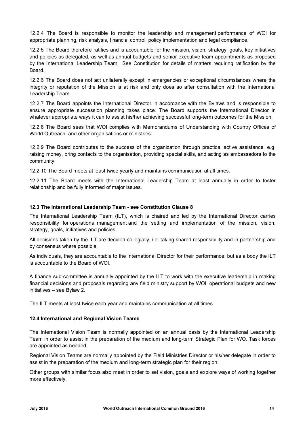12.2.4 The Board is responsible to monitor the leadership and management performance of WOI for appropriate planning, risk analysis, financial control, policy implementation and legal compliance.

12.2.5 The Board therefore ratifies and is accountable for the mission, vision, strategy, goals, key initiatives and policies as delegated, as well as annual budgets and senior executive team appointments as proposed by the International Leadership Team. See Constitution for details of matters requiring ratification by the Board.

12.2.6 The Board does not act unilaterally except in emergencies or exceptional circumstances where the integrity or reputation of the Mission is at risk and only does so after consultation with the International Leadership Team.

12.2.7 The Board appoints the International Director in accordance with the Bylaws and is responsible to ensure appropriate succession planning takes place. The Board supports the International Director in whatever appropriate ways it can to assist his/her achieving successful long-term outcomes for the Mission.

12.2.8 The Board sees that WOI complies with Memorandums of Understanding with Country Offices of World Outreach, and other organisations or ministries.

12.2.9 The Board contributes to the success of the organization through practical active assistance, e.g. raising money, bring contacts to the organisation, providing special skills, and acting as ambassadors to the community.

12.2.10 The Board meets at least twice yearly and maintains communication at all times.

12.2.11 The Board meets with the International Leadership Team at least annually in order to foster relationship and be fully informed of major issues.

#### 12.3 The International Leadership Team - see Constitution Clause 8

The International Leadership Team (ILT), which is chaired and led by the International Director, carries responsibility for operational management and the setting and implementation of the mission, vision, strategy, goals, initiatives and policies.

All decisions taken by the ILT are decided collegially, i.e. taking shared responsibility and in partnership and by consensus where possible.

As individuals, they are accountable to the International Director for their performance; but as a body the ILT is accountable to the Board of WOI.

A finance sub-committee is annually appointed by the ILT to work with the executive leadership in making financial decisions and proposals regarding any field ministry support by WOI, operational budgets and new initiatives – see Bylaw 2.

The ILT meets at least twice each year and maintains communication at all times.

#### 12.4 International and Regional Vision Teams

The International Vision Team is normally appointed on an annual basis by the International Leadership Team in order to assist in the preparation of the medium and long-term Strategic Plan for WO. Task forces are appointed as needed.

Regional Vision Teams are normally appointed by the Field Ministries Director or his/her delegate in order to assist in the preparation of the medium and long-term strategic plan for their region.

Other groups with similar focus also meet in order to set vision, goals and explore ways of working together more effectively.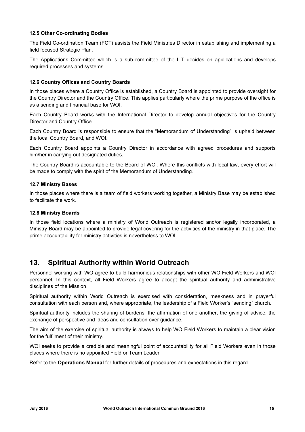#### 12.5 Other Co-ordinating Bodies

The Field Co-ordination Team (FCT) assists the Field Ministries Director in establishing and implementing a field focused Strategic Plan.

The Applications Committee which is a sub-committee of the ILT decides on applications and develops required processes and systems.

#### 12.6 Country Offices and Country Boards

In those places where a Country Office is established, a Country Board is appointed to provide oversight for the Country Director and the Country Office. This applies particularly where the prime purpose of the office is as a sending and financial base for WOI.

Each Country Board works with the International Director to develop annual objectives for the Country Director and Country Office.

Each Country Board is responsible to ensure that the "Memorandum of Understanding" is upheld between the local Country Board, and WOI.

Each Country Board appoints a Country Director in accordance with agreed procedures and supports him/her in carrying out designated duties.

The Country Board is accountable to the Board of WOl. Where this conflicts with local law, every effort will be made to comply with the spirit of the Memorandum of Understanding.

#### 12.7 Ministry Bases

In those places where there is a team of field workers working together, a Ministry Base may be established to facilitate the work.

#### 12.8 Ministry Boards

In those field locations where a ministry of World Outreach is registered and/or legally incorporated, a Ministry Board may be appointed to provide legal covering for the activities of the ministry in that place. The prime accountability for ministry activities is nevertheless to WOI.

## 13. Spiritual Authority within World Outreach

Personnel working with WO agree to build harmonious relationships with other WO Field Workers and WOl personnel. In this context, all Field Workers agree to accept the spiritual authority and administrative disciplines of the Mission.

Spiritual authority within World Outreach is exercised with consideration, meekness and in prayerful consultation with each person and, where appropriate, the leadership of a Field Worker's "sending" church.

Spiritual authority includes the sharing of burdens, the affirmation of one another, the giving of advice, the exchange of perspective and ideas and consultation over guidance.

The aim of the exercise of spiritual authority is always to help WO Field Workers to maintain a clear vision for the fulfilment of their ministry.

WOI seeks to provide a credible and meaningful point of accountability for all Field Workers even in those places where there is no appointed Field or Team Leader.

Refer to the Operations Manual for further details of procedures and expectations in this regard.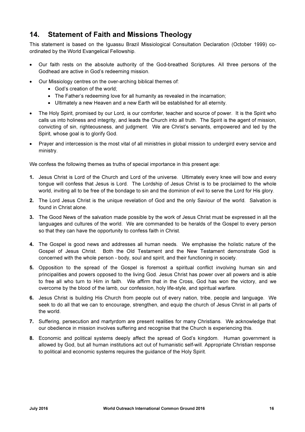## 14. Statement of Faith and Missions Theology

This statement is based on the Iguassu Brazil Missiological Consultation Declaration (October 1999) coordinated by the World Evangelical Fellowship.

- Our faith rests on the absolute authority of the God-breathed Scriptures. All three persons of the Godhead are active in God's redeeming mission.
- Our Missiology centres on the over-arching biblical themes of:
	- God's creation of the world;
	- The Father's redeeming love for all humanity as revealed in the incarnation;
	- Ultimately a new Heaven and a new Earth will be established for all eternity.
- The Holy Spirit, promised by our Lord, is our comforter, teacher and source of power. It is the Spirit who calls us into holiness and integrity, and leads the Church into all truth. The Spirit is the agent of mission, convicting of sin, righteousness, and judgment. We are Christ's servants, empowered and led by the Spirit, whose goal is to glorify God.
- Praver and intercession is the most vital of all ministries in global mission to undergird every service and ministry.

We confess the following themes as truths of special importance in this present age:

- 1. Jesus Christ is Lord of the Church and Lord of the universe. Ultimately every knee will bow and every tongue will confess that Jesus is Lord. The Lordship of Jesus Christ is to be proclaimed to the whole world, inviting all to be free of the bondage to sin and the dominion of evil to serve the Lord for His glory.
- 2. The Lord Jesus Christ is the unique revelation of God and the only Saviour of the world. Salvation is found in Christ alone.
- 3. The Good News of the salvation made possible by the work of Jesus Christ must be expressed in all the languages and cultures of the world. We are commanded to be heralds of the Gospel to every person so that they can have the opportunity to confess faith in Christ.
- 4. The Gospel is good news and addresses all human needs. We emphasise the holistic nature of the Gospel of Jesus Christ. Both the Old Testament and the New Testament demonstrate God is concerned with the whole person - body, soul and spirit, and their functioning in society.
- 5. Opposition to the spread of the Gospel is foremost a spiritual conflict involving human sin and principalities and powers opposed to the living God. Jesus Christ has power over all powers and is able to free all who turn to Him in faith. We affirm that in the Cross, God has won the victory, and we overcome by the blood of the lamb, our confession, holy life-style, and spiritual warfare.
- 6. Jesus Christ is building His Church from people out of every nation, tribe, people and language. We seek to do all that we can to encourage, strengthen, and equip the church of Jesus Christ in all parts of the world.
- 7. Suffering, persecution and martyrdom are present realities for many Christians. We acknowledge that our obedience in mission involves suffering and recognise that the Church is experiencing this.
- 8. Economic and political systems deeply affect the spread of God's kingdom. Human government is allowed by God, but all human institutions act out of humanistic self-will. Appropriate Christian response to political and economic systems requires the guidance of the Holy Spirit.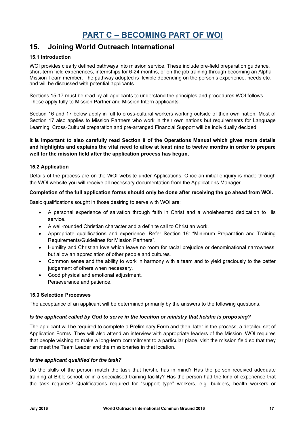## PART C – BECOMING PART OF WOI

## 15. Joining World Outreach International

#### 15.1 Introduction

WOI provides clearly defined pathways into mission service. These include pre-field preparation quidance, short-term field experiences, internships for 6-24 months, or on the job training through becoming an Alpha Mission Team member. The pathway adopted is flexible depending on the person's experience, needs etc. and will be discussed with potential applicants.

Sections 15-17 must be read by all applicants to understand the principles and procedures WOI follows. These apply fully to Mission Partner and Mission Intern applicants.

Section 16 and 17 below apply in full to cross-cultural workers working outside of their own nation. Most of Section 17 also applies to Mission Partners who work in their own nations but requirements for Language Learning, Cross-Cultural preparation and pre-arranged Financial Support will be individually decided.

#### It is important to also carefully read Section 8 of the Operations Manual which gives more details and highlights and explains the vital need to allow at least nine to twelve months in order to prepare well for the mission field after the application process has begun.

#### 15.2 Application

Details of the process are on the WOI website under Applications. Once an initial enquiry is made through the WOI website you will receive all necessary documentation from the Applications Manager.

#### Completion of the full application forms should only be done after receiving the go ahead from WOI.

Basic qualifications sought in those desiring to serve with WOI are:

- A personal experience of salvation through faith in Christ and a wholehearted dedication to His service.
- A well-rounded Christian character and a definite call to Christian work.
- Appropriate qualifications and experience. Refer Section 16: "Minimum Preparation and Training Requirements/Guidelines for Mission Partners".
- Humility and Christian love which leave no room for racial prejudice or denominational narrowness, but allow an appreciation of other people and cultures.
- Common sense and the ability to work in harmony with a team and to yield graciously to the better judgement of others when necessary.
- Good physical and emotional adjustment. Perseverance and patience.

#### 15.3 Selection Processes

The acceptance of an applicant will be determined primarily by the answers to the following questions:

#### Is the applicant called by God to serve in the location or ministry that he/she is proposing?

The applicant will be required to complete a Preliminary Form and then, later in the process, a detailed set of Application Forms. They will also attend an interview with appropriate leaders of the Mission. WOI requires that people wishing to make a long-term commitment to a particular place, visit the mission field so that they can meet the Team Leader and the missionaries in that location.

#### Is the applicant qualified for the task?

Do the skills of the person match the task that he/she has in mind? Has the person received adequate training at Bible school, or in a specialised training facility? Has the person had the kind of experience that the task requires? Qualifications required for "support type" workers, e.g. builders, health workers or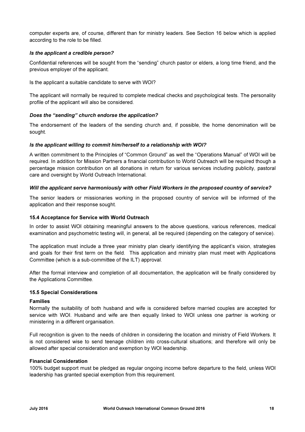computer experts are, of course, different than for ministry leaders. See Section 16 below which is applied according to the role to be filled.

#### Is the applicant a credible person?

Confidential references will be sought from the "sending" church pastor or elders, a long time friend, and the previous employer of the applicant.

Is the applicant a suitable candidate to serve with WOI?

The applicant will normally be required to complete medical checks and psychological tests. The personality profile of the applicant will also be considered.

#### Does the "sending" church endorse the application?

The endorsement of the leaders of the sending church and, if possible, the home denomination will be sought.

#### Is the applicant willing to commit him/herself to a relationship with WOI?

A written commitment to the Principles of "Common Ground" as well the "Operations Manual" of WOI will be required. In addition for Mission Partners a financial contribution to World Outreach will be required though a percentage mission contribution on all donations in return for various services including publicity, pastoral care and oversight by World Outreach International.

#### Will the applicant serve harmoniously with other Field Workers in the proposed country of service?

The senior leaders or missionaries working in the proposed country of service will be informed of the application and their response sought.

#### 15.4 Acceptance for Service with World Outreach

In order to assist WOI obtaining meaningful answers to the above questions, various references, medical examination and psychometric testing will, in general, all be required (depending on the category of service).

The application must include a three year ministry plan clearly identifying the applicant's vision, strategies and goals for their first term on the field. This application and ministry plan must meet with Applications Committee (which is a sub-committee of the ILT) approval.

After the formal interview and completion of all documentation, the application will be finally considered by the Applications Committee.

#### 15.5 Special Considerations

#### Families

Normally the suitability of both husband and wife is considered before married couples are accepted for service with WOI. Husband and wife are then equally linked to WOI unless one partner is working or ministering in a different organisation.

Full recognition is given to the needs of children in considering the location and ministry of Field Workers. It is not considered wise to send teenage children into cross-cultural situations; and therefore will only be allowed after special consideration and exemption by WOI leadership.

#### Financial Consideration

100% budget support must be pledged as regular ongoing income before departure to the field, unless WOI leadership has granted special exemption from this requirement.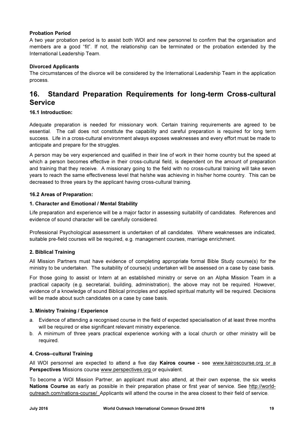#### Probation Period

A two year probation period is to assist both WOI and new personnel to confirm that the organisation and members are a good "fit". If not, the relationship can be terminated or the probation extended by the International Leadership Team.

#### Divorced Applicants

The circumstances of the divorce will be considered by the International Leadership Team in the application process.

## 16. Standard Preparation Requirements for long-term Cross-cultural Service

#### 16.1 Introduction:

Adequate preparation is needed for missionary work. Certain training requirements are agreed to be essential. The call does not constitute the capability and careful preparation is required for long term success. Life in a cross-cultural environment always exposes weaknesses and every effort must be made to anticipate and prepare for the struggles.

A person may be very experienced and qualified in their line of work in their home country but the speed at which a person becomes effective in their cross-cultural field, is dependent on the amount of preparation and training that they receive. A missionary going to the field with no cross-cultural training will take seven years to reach the same effectiveness level that he/she was achieving in his/her home country. This can be decreased to three years by the applicant having cross-cultural training.

#### 16.2 Areas of Preparation:

#### 1. Character and Emotional / Mental Stability

Life preparation and experience will be a major factor in assessing suitability of candidates. References and evidence of sound character will be carefully considered.

Professional Psychological assessment is undertaken of all candidates. Where weaknesses are indicated, suitable pre-field courses will be required, e.g. management courses, marriage enrichment.

#### 2. Biblical Training

All Mission Partners must have evidence of completing appropriate formal Bible Study course(s) for the ministry to be undertaken. The suitability of course(s) undertaken will be assessed on a case by case basis.

For those going to assist or Intern at an established ministry or serve on an Alpha Mission Team in a practical capacity (e.g. secretarial, building, administration), the above may not be required. However, evidence of a knowledge of sound Biblical principles and applied spiritual maturity will be required. Decisions will be made about such candidates on a case by case basis.

#### 3. Ministry Training / Experience

- a. Evidence of attending a recognised course in the field of expected specialisation of at least three months will be required or else significant relevant ministry experience.
- b. A minimum of three years practical experience working with a local church or other ministry will be required.

#### 4. Cross–cultural Training

All WOI personnel are expected to attend a five day Kairos course - see www.kairoscourse.org or a Perspectives Missions course www.perspectives.org or equivalent.

To become a WOI Mission Partner, an applicant must also attend, at their own expense, the six weeks Nations Course as early as possible in their preparation phase or first year of service. See http://worldoutreach.com/nations-course/ Applicants will attend the course in the area closest to their field of service.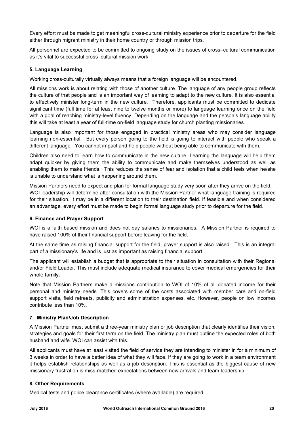Every effort must be made to get meaningful cross-cultural ministry experience prior to departure for the field either through migrant ministry in their home country or through mission trips.

All personnel are expected to be committed to ongoing study on the issues of cross–cultural communication as it's vital to successful cross–cultural mission work.

#### 5. Language Learning

Working cross-culturally virtually always means that a foreign language will be encountered.

All missions work is about relating with those of another culture. The language of any people group reflects the culture of that people and is an important way of learning to adapt to the new culture. It is also essential to effectively minister long-term in the new culture. Therefore, applicants must be committed to dedicate significant time (full time for at least nine to twelve months or more) to language learning once on the field with a goal of reaching ministry-level fluency. Depending on the language and the person's language ability this will take at least a year of full-time on-field language study for church planting missionaries.

Language is also important for those engaged in practical ministry areas who may consider language learning non-essential. But every person going to the field is going to interact with people who speak a different language. You cannot impact and help people without being able to communicate with them.

Children also need to learn how to communicate in the new culture. Learning the language will help them adapt quicker by giving them the ability to communicate and make themselves understood as well as enabling them to make friends. This reduces the sense of fear and isolation that a child feels when he/she is unable to understand what is happening around them.

Mission Partners need to expect and plan for formal language study very soon after they arrive on the field. WOI leadership will determine after consultation with the Mission Partner what language training is required for their situation. It may be in a different location to their destination field. If feasible and when considered an advantage, every effort must be made to begin formal language study prior to departure for the field.

#### 6. Finance and Prayer Support

WOI is a faith based mission and does not pay salaries to missionaries. A Mission Partner is required to have raised 100% of their financial support before leaving for the field.

At the same time as raising financial support for the field, prayer support is also raised. This is an integral part of a missionary's life and is just as important as raising financial support.

The applicant will establish a budget that is appropriate to their situation in consultation with their Regional and/or Field Leader. This must include adequate medical insurance to cover medical emergencies for their whole family.

Note that Mission Partners make a missions contribution to WOI of 10% of all donated income for their personal and ministry needs. This covers some of the costs associated with member care and on-field support visits, field retreats, publicity and administration expenses, etc. However, people on low incomes contribute less than 10%.

#### 7. Ministry Plan/Job Description

A Mission Partner must submit a three-year ministry plan or job description that clearly identifies their vision, strategies and goals for their first term on the field. The ministry plan must outline the expected roles of both husband and wife. WOI can assist with this.

All applicants must have at least visited the field of service they are intending to minister in for a minimum of 3 weeks in order to have a better idea of what they will face. If they are going to work in a team environment it helps establish relationships as well as a job description. This is essential as the biggest cause of new missionary frustration is miss-matched expectations between new arrivals and team leadership.

#### 8. Other Requirements

Medical tests and police clearance certificates (where available) are required.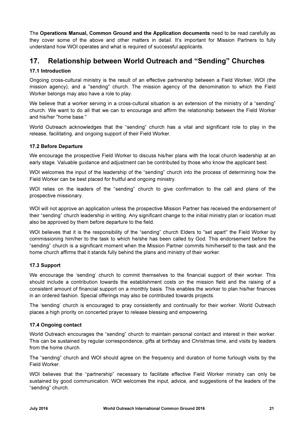The Operations Manual, Common Ground and the Application documents need to be read carefully as they cover some of the above and other matters in detail. It's important for Mission Partners to fully understand how WOI operates and what is required of successful applicants.

## 17. Relationship between World Outreach and "Sending" Churches

#### 17.1 Introduction

Ongoing cross-cultural ministry is the result of an effective partnership between a Field Worker, WOI (the mission agency), and a "sending" church. The mission agency of the denomination to which the Field Worker belongs may also have a role to play.

We believe that a worker serving in a cross-cultural situation is an extension of the ministry of a "sending" church. We want to do all that we can to encourage and affirm the relationship between the Field Worker and his/her "home base."

World Outreach acknowledges that the "sending" church has a vital and significant role to play in the release, facilitating, and ongoing support of their Field Worker.

#### 17.2 Before Departure

We encourage the prospective Field Worker to discuss his/her plans with the local church leadership at an early stage. Valuable guidance and adjustment can be contributed by those who know the applicant best.

WOI welcomes the input of the leadership of the "sending" church into the process of determining how the Field Worker can be best placed for fruitful and ongoing ministry.

WOI relies on the leaders of the "sending" church to give confirmation to the call and plans of the prospective missionary.

WOI will not approve an application unless the prospective Mission Partner has received the endorsement of their "sending" church leadership in writing. Any significant change to the initial ministry plan or location must also be approved by them before departure to the field.

WOI believes that it is the responsibility of the "sending" church Elders to "set apart" the Field Worker by commissioning him/her to the task to which he/she has been called by God. This endorsement before the "sending" church is a significant moment when the Mission Partner commits him/herself to the task and the home church affirms that it stands fully behind the plans and ministry of their worker.

#### 17.3 Support

We encourage the 'sending' church to commit themselves to the financial support of their worker. This should include a contribution towards the establishment costs on the mission field and the raising of a consistent amount of financial support on a monthly basis. This enables the worker to plan his/her finances in an ordered fashion. Special offerings may also be contributed towards projects.

The 'sending' church is encouraged to pray consistently and continually for their worker. World Outreach places a high priority on concerted prayer to release blessing and empowering.

#### 17.4 Ongoing contact

World Outreach encourages the "sending" church to maintain personal contact and interest in their worker. This can be sustained by regular correspondence, gifts at birthday and Christmas time, and visits by leaders from the home church.

The "sending" church and WOI should agree on the frequency and duration of home furlough visits by the Field Worker.

WOI believes that the "partnership" necessary to facilitate effective Field Worker ministry can only be sustained by good communication. WOI welcomes the input, advice, and suggestions of the leaders of the "sending" church.